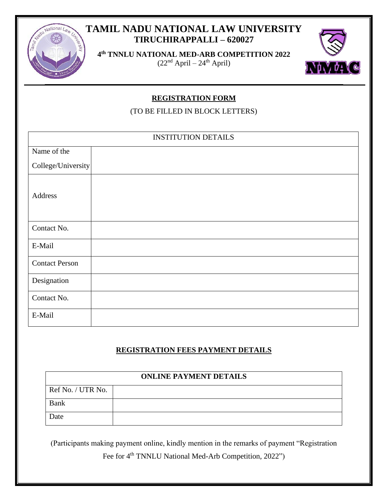# **TAMIL NADU NATIONAL LAW UNIVERSITY TIRUCHIRAPPALLI – 620027**



**4 th TNNLU NATIONAL MED-ARB COMPETITION 2022**  $(22<sup>nd</sup> April – 24<sup>th</sup> April)$ 



### **REGISTRATION FORM**

(TO BE FILLED IN BLOCK LETTERS)

| <b>INSTITUTION DETAILS</b> |  |  |  |  |  |
|----------------------------|--|--|--|--|--|
| Name of the                |  |  |  |  |  |
| College/University         |  |  |  |  |  |
| Address                    |  |  |  |  |  |
| Contact No.                |  |  |  |  |  |
| E-Mail                     |  |  |  |  |  |
| <b>Contact Person</b>      |  |  |  |  |  |
| Designation                |  |  |  |  |  |
| Contact No.                |  |  |  |  |  |
| E-Mail                     |  |  |  |  |  |

#### **REGISTRATION FEES PAYMENT DETAILS**

| <b>ONLINE PAYMENT DETAILS</b> |  |  |  |  |  |
|-------------------------------|--|--|--|--|--|
| Ref No. / UTR No.             |  |  |  |  |  |
| <b>Bank</b>                   |  |  |  |  |  |
| Date                          |  |  |  |  |  |

(Participants making payment online, kindly mention in the remarks of payment "Registration

Fee for 4<sup>th</sup> TNNLU National Med-Arb Competition, 2022")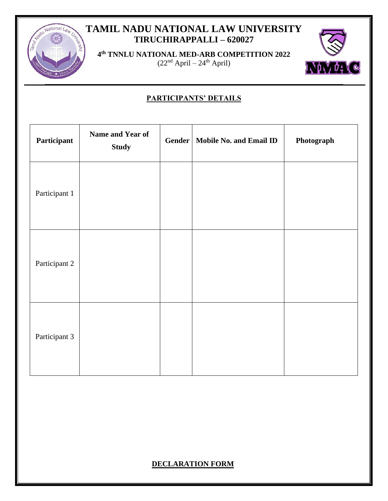# **TAMIL NADU NATIONAL LAW UNIVERSITY TIRUCHIRAPPALLI – 620027**



**4 th TNNLU NATIONAL MED-ARB COMPETITION 2022**  $(22<sup>nd</sup> April – 24<sup>th</sup> April)$ 



### **PARTICIPANTS' DETAILS**

| Participant   | Name and Year of<br><b>Study</b> | Gender | <b>Mobile No. and Email ID</b> | Photograph |
|---------------|----------------------------------|--------|--------------------------------|------------|
| Participant 1 |                                  |        |                                |            |
| Participant 2 |                                  |        |                                |            |
| Participant 3 |                                  |        |                                |            |

### **DECLARATION FORM**